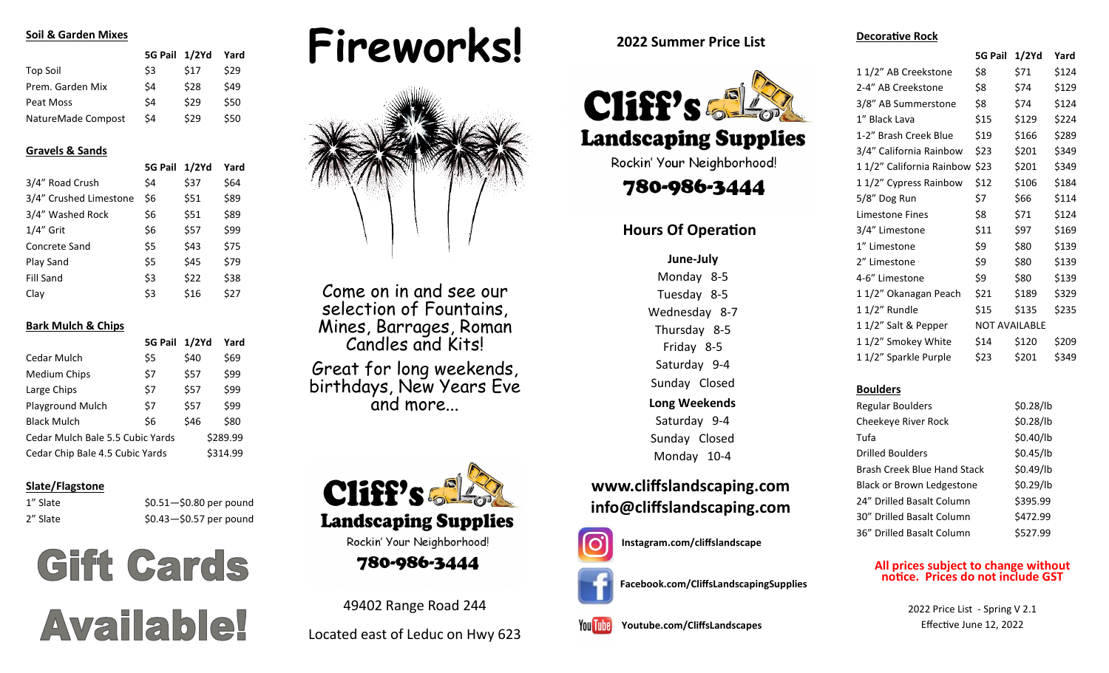#### **Soil & Garden Mixes**

|                    | 5G Pail 1/2Yd |      | Yard |
|--------------------|---------------|------|------|
| Top Soil           | \$3           | \$17 | \$29 |
| Prem. Garden Mix   | Ś4            | \$28 | \$49 |
| Peat Moss          | Ś4            | \$29 | \$50 |
| NatureMade Compost | Ś4            | \$29 | \$50 |

#### **Gravels & Sands**

|                        | <b>5G Pail</b> | $1/2$ Yd | Yard |
|------------------------|----------------|----------|------|
| 3/4" Road Crush        | \$4            | \$37     | \$64 |
| 3/4" Crushed Limestone | \$6            | \$51     | \$89 |
| 3/4" Washed Rock       | \$6            | \$51     | \$89 |
| $1/4$ " Grit           | \$6            | \$57     | \$99 |
| Concrete Sand          | \$5            | \$43     | \$75 |
| Play Sand              | \$5            | \$45     | \$79 |
| <b>Fill Sand</b>       | \$3            | \$22     | \$38 |
| Clay                   | \$3            | \$16     | \$27 |

#### **Bark Mulch & Chips**

|                                  | <b>5G Pail</b> | $1/2$ Yd | Yard     |
|----------------------------------|----------------|----------|----------|
| Cedar Mulch                      | \$5            | \$40     | \$69     |
| <b>Medium Chips</b>              | \$7            | \$57     | \$99     |
| Large Chips                      | \$7            | \$57     | \$99     |
| <b>Playground Mulch</b>          | \$7            | \$57     | \$99     |
| <b>Black Mulch</b>               | \$6            | \$46     | \$80     |
| Cedar Mulch Bale 5.5 Cubic Yards |                |          | \$289.99 |
| Cedar Chip Bale 4.5 Cubic Yards  |                |          | \$314.99 |

#### **Slate/Flagstone**

1" Slate \$0.51-\$0.80 per pound  $2''$  Slate  $$0.43 - $0.57$  per pound

# **Gift Cards Available!**





Come on in and see our selection of Fountains, Mines, Barrages, Roman Candles and Kits!

Great for long weekends, birthdays, New Years Eve and more...



49402 Range Road 244

Located east of Leduc on Hwy 623

**2022 Summer Price List**



**Landscaping Supplies** 

Rockin' Your Neighborhood!

780-986-3444

# **Hours Of Operation**

## **June-July**

**Long Weekends** Saturday 9-4 Sunday Closed Monday 10-4 Monday 8-5 Tuesday 8-5 Wednesday 8-7 Thursday 8-5 Friday 8-5 Saturday 9-4 Sunday Closed

**[www.cliffslandscaping.com](http://www.cliffslandscaping.com) [info@cliffslandscaping.com](mailto:info@cliffslandscaping.com)**

**Instagram[.com/cliffslandscape](http://www.Twitter.com/CliffsLandscape)**





**[Youtube.com/CliffsLandscapes](http://www.Youtube.com/CliffsLandscapes) You Tube** 

**Decorative Rock**

|                          | <b>5G Pail</b>       | 1/2Yd | Yard  |
|--------------------------|----------------------|-------|-------|
| 11/2" AB Creekstone      | \$8                  | \$71  | \$124 |
| 2-4" AB Creekstone       | \$8                  | \$74  | \$129 |
| 3/8" AB Summerstone      | \$8                  | \$74  | \$124 |
| 1" Black Lava            | \$15                 | \$129 | \$224 |
| 1-2" Brash Creek Blue    | \$19                 | \$166 | \$289 |
| 3/4" California Rainbow  | \$23                 | \$201 | \$349 |
| 11/2" California Rainbow | \$23                 | \$201 | \$349 |
| 11/2" Cypress Rainbow    | \$12                 | \$106 | \$184 |
| 5/8" Dog Run             | \$7                  | \$66  | \$114 |
| <b>Limestone Fines</b>   | \$8                  | \$71  | \$124 |
| 3/4" Limestone           | \$11                 | \$97  | \$169 |
| 1" Limestone             | \$9                  | \$80  | \$139 |
| 2" Limestone             | \$9                  | \$80  | \$139 |
| 4-6" Limestone           | \$9                  | \$80  | \$139 |
| 11/2" Okanagan Peach     | \$21                 | \$189 | \$329 |
| 1 1/2" Rundle            | \$15                 | \$135 | \$235 |
| 11/2" Salt & Pepper      | <b>NOT AVAILABLE</b> |       |       |
| 11/2" Smokey White       | \$14                 | \$120 | \$209 |
| 11/2" Sparkle Purple     | \$23                 | \$201 | \$349 |
|                          |                      |       |       |

#### **Boulders**

| <b>Regular Boulders</b>          | \$0.28/lb |
|----------------------------------|-----------|
| Cheekeye River Rock              | \$0.28/lb |
| Tufa                             | \$0.40/lb |
| Drilled Boulders                 | \$0.45/lb |
| Brash Creek Blue Hand Stack      | \$0.49/lb |
| <b>Black or Brown Ledgestone</b> | \$0.29/lb |
| 24" Drilled Basalt Column        | \$395.99  |
| 30" Drilled Basalt Column        | \$472.99  |
| 36" Drilled Basalt Column        | \$527.99  |

#### **All prices subject to change without notice. Prices do not include GST**

2022 Price List - Spring V 2.1 Effective June 12, 2022